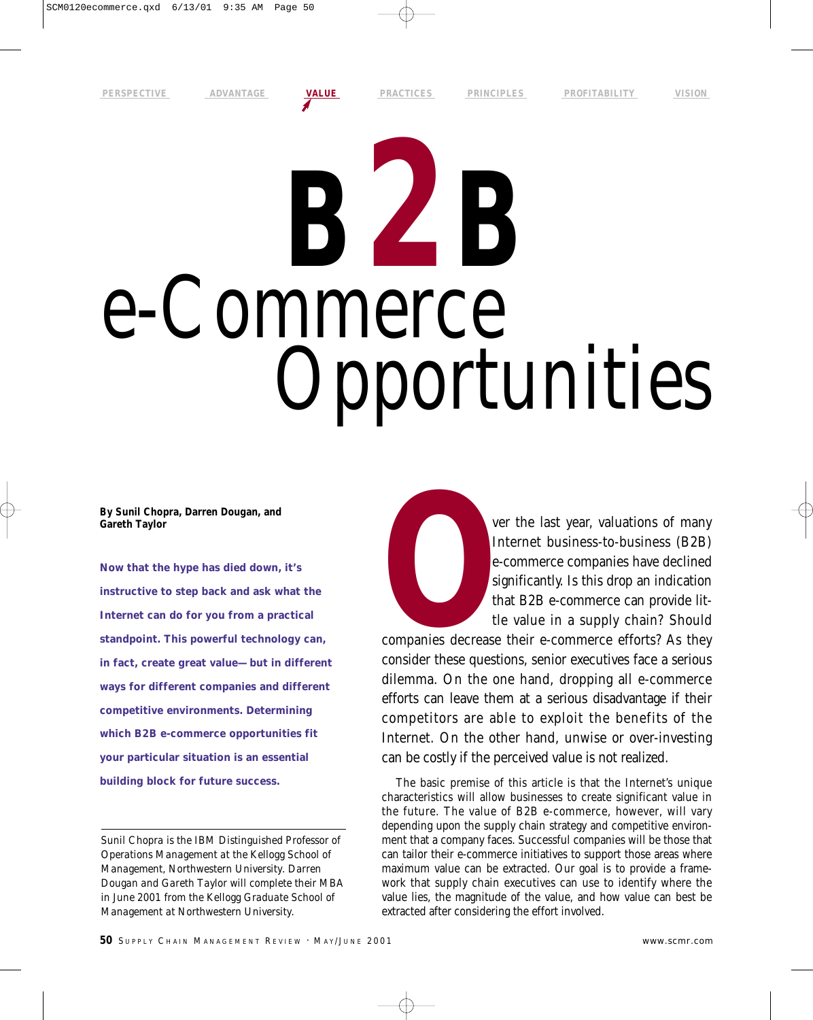# **B2B** e-Commerce Opportunities

**By Sunil Chopra, Darren Dougan, and Gareth Taylor**

**Now that the hype has died down, it's instructive to step back and ask what the Internet can do for you from a practical standpoint. This powerful technology can, in fact, create great value—but in different ways for different companies and different competitive environments. Determining which B2B e-commerce opportunities fit your particular situation is an essential building block for future success.** 

*Sunil Chopra is the IBM Distinguished Professor of Operations Management at the Kellogg School of Management, Northwestern University. Darren Dougan and Gareth Taylor will complete their MBA in June 2001 from the Kellogg Graduate School of Management at Northwestern University.*

FR VERE VI THE VI THE VI SURVEY OF THE VI SURVEYORD WAS CONSIDED A COMPONENT OF THE VALUE OF THE VALUE OF THE VALUE OF THE VALUE OF THE VALUE OF THE VALUE OF THE VALUE OF THE VALUE OF THE VALUE OF THE VALUE OF THE VALUE OF Internet business-to-business (B2B) e-commerce companies have declined significantly. Is this drop an indication that B2B e-commerce can provide little value in a supply chain? Should

companies decrease their e-commerce efforts? As they consider these questions, senior executives face a serious dilemma. On the one hand, dropping all e-commerce efforts can leave them at a serious disadvantage if their competitors are able to exploit the benefits of the Internet. On the other hand, unwise or over-investing can be costly if the perceived value is not realized.

The basic premise of this article is that the Internet's unique characteristics will allow businesses to create significant value in the future. The value of B2B e-commerce, however, will vary depending upon the supply chain strategy and competitive environment that a company faces. Successful companies will be those that can tailor their e-commerce initiatives to support those areas where maximum value can be extracted. Our goal is to provide a framework that supply chain executives can use to identify where the value lies, the magnitude of the value, and how value can best be extracted after considering the effort involved.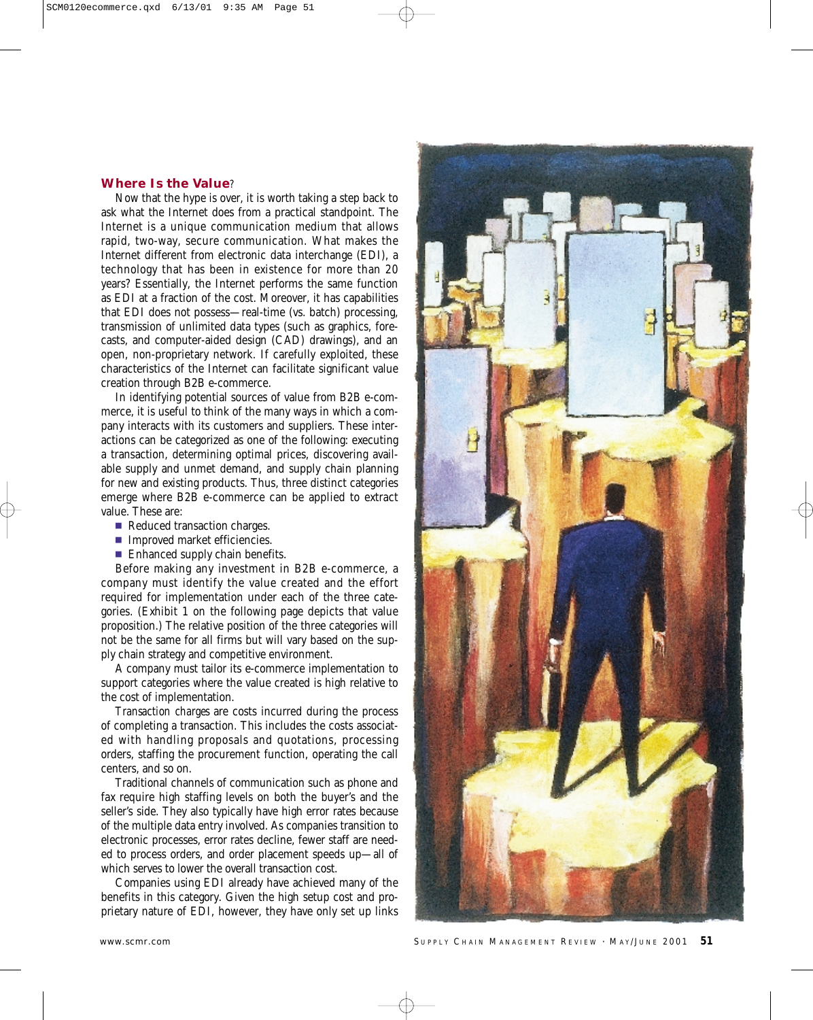# **Where Is the Value**?

Now that the hype is over, it is worth taking a step back to ask what the Internet does from a practical standpoint. The Internet is a unique communication medium that allows rapid, two-way, secure communication. What makes the Internet different from electronic data interchange (EDI), a technology that has been in existence for more than 20 years? Essentially, the Internet performs the same function as EDI at a fraction of the cost. Moreover, it has capabilities that EDI does not possess—real-time (vs. batch) processing, transmission of unlimited data types (such as graphics, forecasts, and computer-aided design (CAD) drawings), and an open, non-proprietary network. If carefully exploited, these characteristics of the Internet can facilitate significant value creation through B2B e-commerce.

In identifying potential sources of value from B2B e-commerce, it is useful to think of the many ways in which a company interacts with its customers and suppliers. These interactions can be categorized as one of the following: executing a transaction, determining optimal prices, discovering available supply and unmet demand, and supply chain planning for new and existing products. Thus, three distinct categories emerge where B2B e-commerce can be applied to extract value. These are:

- Reduced transaction charges.
- **Improved market efficiencies.**
- **Enhanced supply chain benefits.**

Before making any investment in B2B e-commerce, a company must identify the value created and the effort required for implementation under each of the three categories. (Exhibit 1 on the following page depicts that value proposition.) The relative position of the three categories will not be the same for all firms but will vary based on the supply chain strategy and competitive environment.

A company must tailor its e-commerce implementation to support categories where the value created is high relative to the cost of implementation.

*Transaction charges* are costs incurred during the process of completing a transaction. This includes the costs associated with handling proposals and quotations, processing orders, staffing the procurement function, operating the call centers, and so on.

Traditional channels of communication such as phone and fax require high staffing levels on both the buyer's and the seller's side. They also typically have high error rates because of the multiple data entry involved. As companies transition to electronic processes, error rates decline, fewer staff are needed to process orders, and order placement speeds up—all of which serves to lower the overall transaction cost.

Companies using EDI already have achieved many of the benefits in this category. Given the high setup cost and proprietary nature of EDI, however, they have only set up links



www.scmr.com **SUPPLY CHAIN MANAGEMENT REVIEW · MAY/JUNE 2001 51**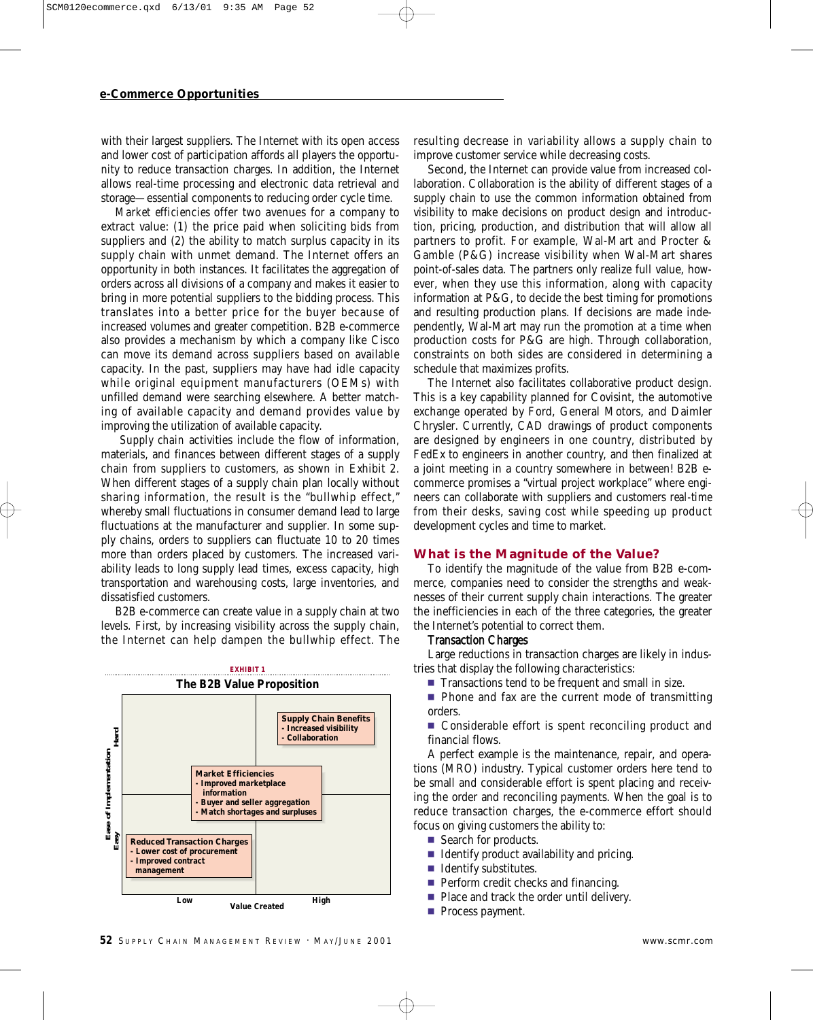with their largest suppliers. The Internet with its open access and lower cost of participation affords all players the opportunity to reduce transaction charges. In addition, the Internet allows real-time processing and electronic data retrieval and storage—essential components to reducing order cycle time.

*Market efficiencies* offer two avenues for a company to extract value: (1) the price paid when soliciting bids from suppliers and (2) the ability to match surplus capacity in its supply chain with unmet demand. The Internet offers an opportunity in both instances. It facilitates the aggregation of orders across all divisions of a company and makes it easier to bring in more potential suppliers to the bidding process. This translates into a better price for the buyer because of increased volumes and greater competition. B2B e-commerce also provides a mechanism by which a company like Cisco can move its demand across suppliers based on available capacity. In the past, suppliers may have had idle capacity while original equipment manufacturers (OEMs) with unfilled demand were searching elsewhere. A better matching of available capacity and demand provides value by improving the utilization of available capacity.

*Supply chain* activities include the flow of information, materials, and finances between different stages of a supply chain from suppliers to customers, as shown in Exhibit 2. When different stages of a supply chain plan locally without sharing information, the result is the "bullwhip effect," whereby small fluctuations in consumer demand lead to large fluctuations at the manufacturer and supplier. In some supply chains, orders to suppliers can fluctuate 10 to 20 times more than orders placed by customers. The increased variability leads to long supply lead times, excess capacity, high transportation and warehousing costs, large inventories, and dissatisfied customers.

B2B e-commerce can create value in a supply chain at two levels. First, by increasing visibility across the supply chain, the Internet can help dampen the bullwhip effect. The



resulting decrease in variability allows a supply chain to improve customer service while decreasing costs.

Second, the Internet can provide value from increased collaboration. Collaboration is the ability of different stages of a supply chain to use the common information obtained from visibility to make decisions on product design and introduction, pricing, production, and distribution that will allow all partners to profit. For example, Wal-Mart and Procter & Gamble (P&G) increase visibility when Wal-Mart shares point-of-sales data. The partners only realize full value, however, when they use this information, along with capacity information at P&G, to decide the best timing for promotions and resulting production plans. If decisions are made independently, Wal-Mart may run the promotion at a time when production costs for P&G are high. Through collaboration, constraints on both sides are considered in determining a schedule that maximizes profits.

The Internet also facilitates collaborative product design. This is a key capability planned for Covisint, the automotive exchange operated by Ford, General Motors, and Daimler Chrysler. Currently, CAD drawings of product components are designed by engineers in one country, distributed by FedEx to engineers in another country, and then finalized at a joint meeting in a country somewhere in between! B2B ecommerce promises a "virtual project workplace" where engineers can collaborate with suppliers and customers *real-time* from their desks, saving cost while speeding up product development cycles and time to market.

#### **What is the Magnitude of the Value?**

To identify the magnitude of the value from B2B e-commerce, companies need to consider the strengths and weaknesses of their current supply chain interactions. The greater the inefficiencies in each of the three categories, the greater the Internet's potential to correct them.

### Transaction Charges

Large reductions in transaction charges are likely in industries that display the following characteristics:

- Transactions tend to be frequent and small in size.
- Phone and fax are the current mode of transmitting orders.

■ Considerable effort is spent reconciling product and financial flows.

A perfect example is the maintenance, repair, and operations (MRO) industry. Typical customer orders here tend to be small and considerable effort is spent placing and receiving the order and reconciling payments. When the goal is to reduce transaction charges, the e-commerce effort should focus on giving customers the ability to:

- Search for products.
- **IDENTIFY PRODUCT AVAILABILITY AND PRODUCT**
- $\blacksquare$  Identify substitutes.
- **Perform credit checks and financing.**
- Place and track the order until delivery.
- **Process payment.**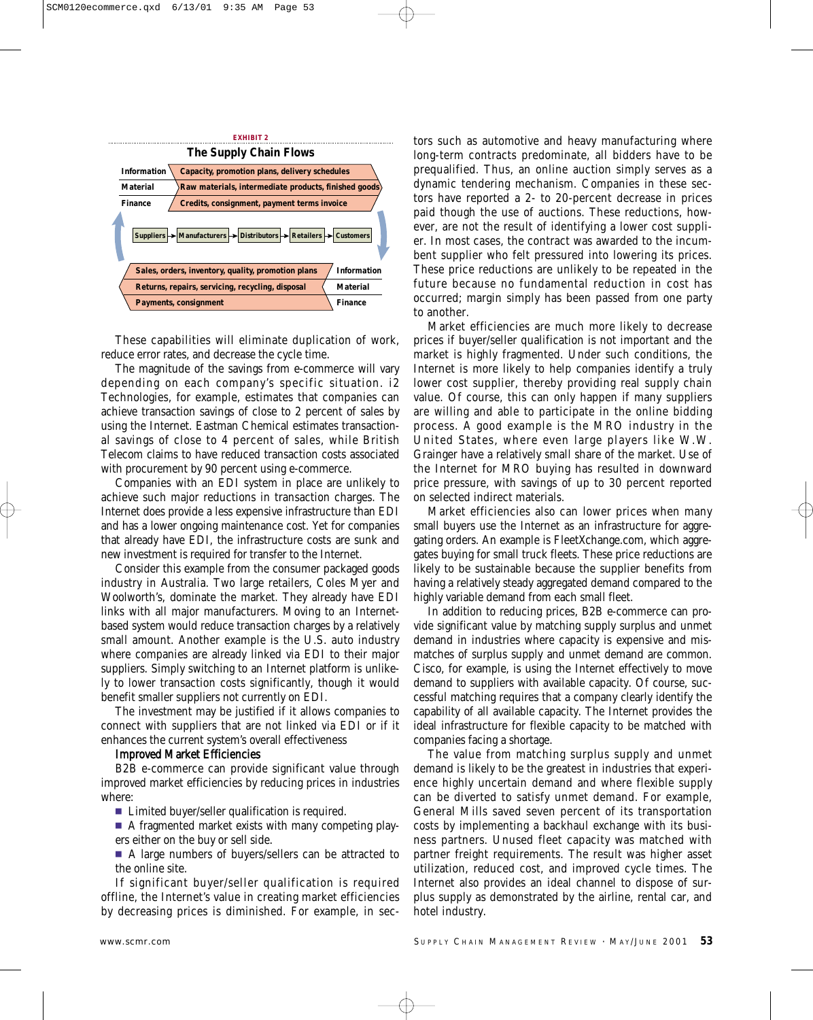

These capabilities will eliminate duplication of work, reduce error rates, and decrease the cycle time.

The magnitude of the savings from e-commerce will vary depending on each company's specific situation. i2 Technologies, for example, estimates that companies can achieve transaction savings of close to 2 percent of sales by using the Internet. Eastman Chemical estimates transactional savings of close to 4 percent of sales, while British Telecom claims to have reduced transaction costs associated with procurement by 90 percent using e-commerce.

Companies with an EDI system in place are unlikely to achieve such major reductions in transaction charges. The Internet does provide a less expensive infrastructure than EDI and has a lower ongoing maintenance cost. Yet for companies that already have EDI, the infrastructure costs are sunk and new investment is required for transfer to the Internet.

Consider this example from the consumer packaged goods industry in Australia. Two large retailers, Coles Myer and Woolworth's, dominate the market. They already have EDI links with all major manufacturers. Moving to an Internetbased system would reduce transaction charges by a relatively small amount. Another example is the U.S. auto industry where companies are already linked via EDI to their major suppliers. Simply switching to an Internet platform is unlikely to lower transaction costs significantly, though it would benefit smaller suppliers not currently on EDI.

The investment may be justified if it allows companies to connect with suppliers that are not linked via EDI or if it enhances the current system's overall effectiveness

#### Improved Market Efficiencies

B2B e-commerce can provide significant value through improved market efficiencies by reducing prices in industries where:

■ Limited buyer/seller qualification is required.

A fragmented market exists with many competing players either on the buy or sell side.

A large numbers of buyers/sellers can be attracted to the online site.

If significant buyer/seller qualification is required offline, the Internet's value in creating market efficiencies by decreasing prices is diminished. For example, in sectors such as automotive and heavy manufacturing where long-term contracts predominate, all bidders have to be prequalified. Thus, an online auction simply serves as a dynamic tendering mechanism. Companies in these sectors have reported a 2- to 20-percent decrease in prices paid though the use of auctions. These reductions, however, are not the result of identifying a lower cost supplier. In most cases, the contract was awarded to the incumbent supplier who felt pressured into lowering its prices. These price reductions are unlikely to be repeated in the future because no fundamental reduction in cost has occurred; margin simply has been passed from one party to another.

Market efficiencies are much more likely to decrease prices if buyer/seller qualification is not important and the market is highly fragmented. Under such conditions, the Internet is more likely to help companies identify a truly lower cost supplier, thereby providing real supply chain value. Of course, this can only happen if many suppliers are willing and able to participate in the online bidding process. A good example is the MRO industry in the United States, where even large players like W.W. Grainger have a relatively small share of the market. Use of the Internet for MRO buying has resulted in downward price pressure, with savings of up to 30 percent reported on selected indirect materials.

Market efficiencies also can lower prices when many small buyers use the Internet as an infrastructure for aggregating orders. An example is FleetXchange.com, which aggregates buying for small truck fleets. These price reductions are likely to be sustainable because the supplier benefits from having a relatively steady aggregated demand compared to the highly variable demand from each small fleet.

In addition to reducing prices, B2B e-commerce can provide significant value by matching supply surplus and unmet demand in industries where capacity is expensive and mismatches of surplus supply and unmet demand are common. Cisco, for example, is using the Internet effectively to move demand to suppliers with available capacity. Of course, successful matching requires that a company clearly identify the capability of all available capacity. The Internet provides the ideal infrastructure for flexible capacity to be matched with companies facing a shortage.

The value from matching surplus supply and unmet demand is likely to be the greatest in industries that experience highly uncertain demand and where flexible supply can be diverted to satisfy unmet demand. For example, General Mills saved seven percent of its transportation costs by implementing a backhaul exchange with its business partners. Unused fleet capacity was matched with partner freight requirements. The result was higher asset utilization, reduced cost, and improved cycle times. The Internet also provides an ideal channel to dispose of surplus supply as demonstrated by the airline, rental car, and hotel industry.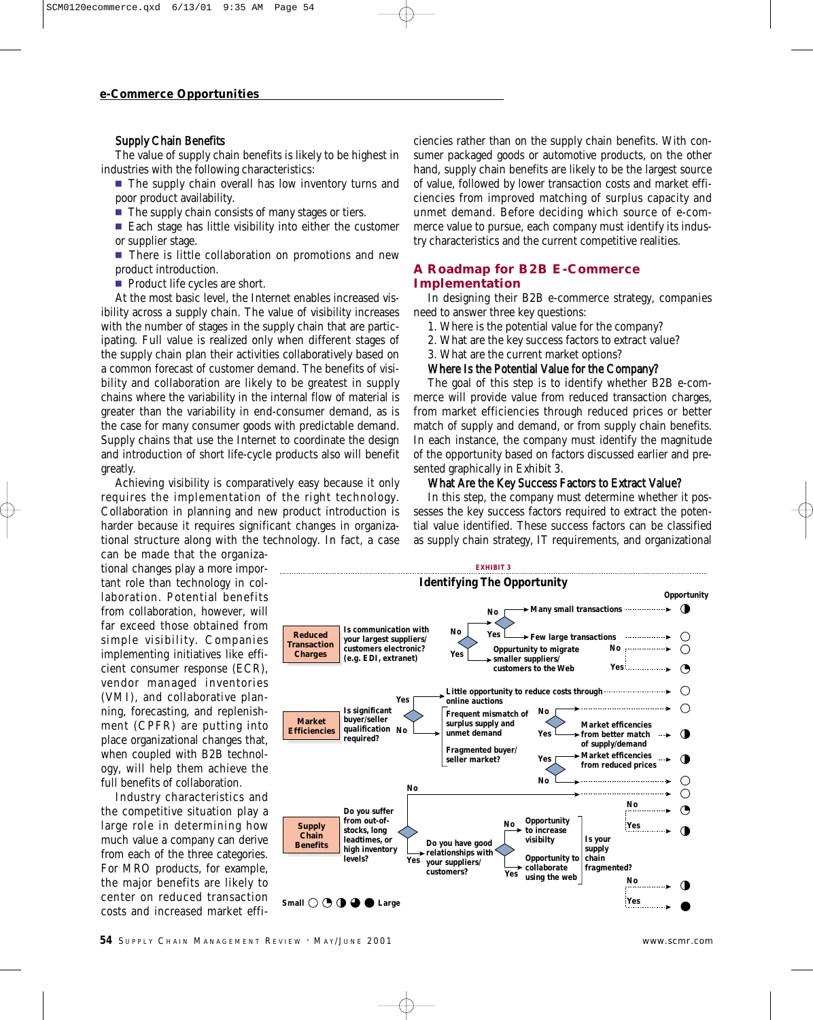### Supply Chain Benefits

The value of supply chain benefits is likely to be highest in industries with the following characteristics:

 $\blacksquare$  The supply chain overall has low inventory turns and poor product availability.

- $\blacksquare$  The supply chain consists of many stages or tiers.
- $\blacksquare$  Each stage has little visibility into either the customer or supplier stage.

■ There is little collaboration on promotions and new product introduction.

Product life cycles are short.

At the most basic level, the Internet enables increased visibility across a supply chain. The value of visibility increases with the number of stages in the supply chain that are participating. Full value is realized only when different stages of the supply chain plan their activities collaboratively based on a common forecast of customer demand. The benefits of visibility and collaboration are likely to be greatest in supply chains where the variability in the internal flow of material is greater than the variability in end-consumer demand, as is the case for many consumer goods with predictable demand. Supply chains that use the Internet to coordinate the design and introduction of short life-cycle products also will benefit greatly.

Achieving visibility is comparatively easy because it only requires the implementation of the right technology. Collaboration in planning and new product introduction is harder because it requires significant changes in organizational structure along with the technology. In fact, a case can be made that the organiza-

tional changes play a more important role than technology in collaboration. Potential benefits from collaboration, however, will far exceed those obtained from simple visibility. Companies implementing initiatives like efficient consumer response (ECR), vendor managed inventories (VMI), and collaborative planning, forecasting, and replenishment (CPFR) are putting into place organizational changes that, when coupled with B2B technology, will help them achieve the full benefits of collaboration.

Industry characteristics and the competitive situation play a large role in determining how much value a company can derive from each of the three categories. For MRO products, for example, the major benefits are likely to center on reduced transaction costs and increased market effi-

ciencies rather than on the supply chain benefits. With consumer packaged goods or automotive products, on the other hand, supply chain benefits are likely to be the largest source of value, followed by lower transaction costs and market efficiencies from improved matching of surplus capacity and unmet demand. Before deciding which source of e-commerce value to pursue, each company must identify its industry characteristics and the current competitive realities.

# **A Roadmap for B2B E-Commerce Implementation**

In designing their B2B e-commerce strategy, companies need to answer three key questions:

- 1. Where is the potential value for the company?
- 2. What are the key success factors to extract value?

3. What are the current market options?

### Where Is the Potential Value for the Company?

The goal of this step is to identify whether B2B e-commerce will provide value from reduced transaction charges, from market efficiencies through reduced prices or better match of supply and demand, or from supply chain benefits. In each instance, the company must identify the magnitude of the opportunity based on factors discussed earlier and presented graphically in Exhibit 3.

#### What Are the Key Success Factors to Extract Value?

In this step, the company must determine whether it possesses the key success factors required to extract the potential value identified. These success factors can be classified as supply chain strategy, IT requirements, and organizational

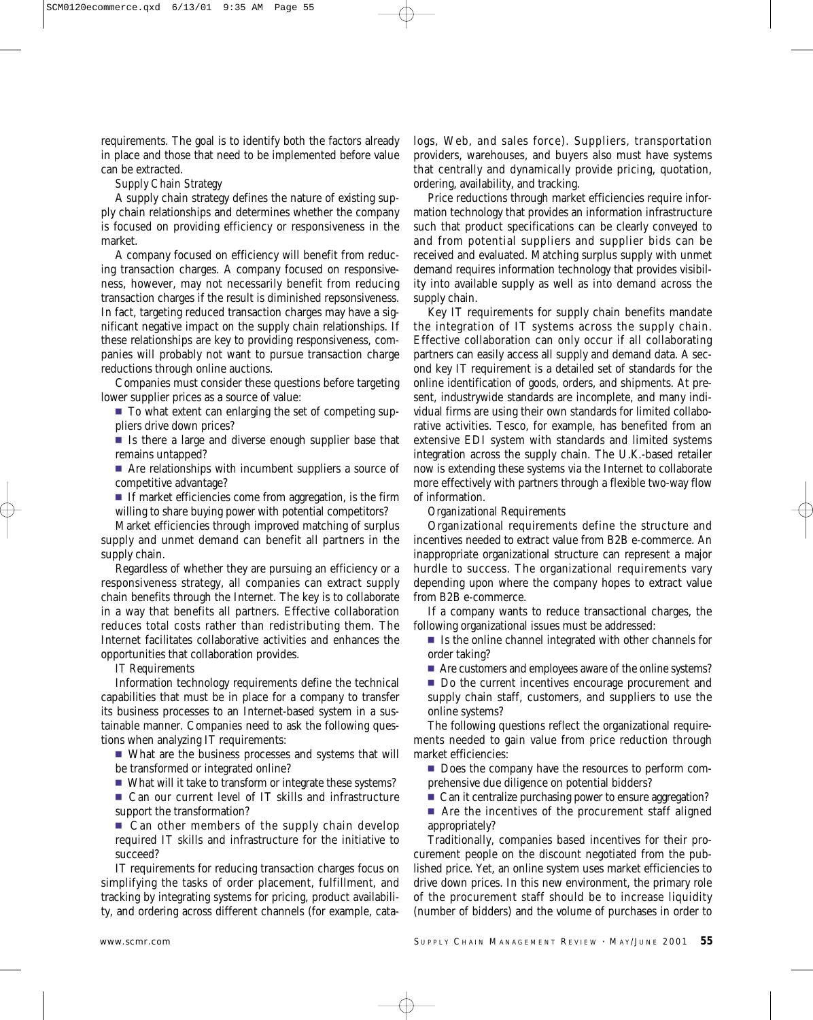requirements. The goal is to identify both the factors already in place and those that need to be implemented before value can be extracted.

*Supply Chain Strategy*

A supply chain strategy defines the nature of existing supply chain relationships and determines whether the company is focused on providing efficiency or responsiveness in the market.

A company focused on efficiency will benefit from reducing transaction charges. A company focused on responsiveness, however, may not necessarily benefit from reducing transaction charges if the result is diminished repsonsiveness. In fact, targeting reduced transaction charges may have a significant negative impact on the supply chain relationships. If these relationships are key to providing responsiveness, companies will probably not want to pursue transaction charge reductions through online auctions.

Companies must consider these questions before targeting lower supplier prices as a source of value:

- To what extent can enlarging the set of competing suppliers drive down prices?
- Is there a large and diverse enough supplier base that remains untapped?
- Are relationships with incumbent suppliers a source of competitive advantage?
- If market efficiencies come from aggregation, is the firm willing to share buying power with potential competitors?

Market efficiencies through improved matching of surplus supply and unmet demand can benefit all partners in the supply chain.

Regardless of whether they are pursuing an efficiency or a responsiveness strategy, all companies can extract supply chain benefits through the Internet. The key is to collaborate in a way that benefits all partners. Effective collaboration reduces total costs rather than redistributing them. The Internet facilitates collaborative activities and enhances the opportunities that collaboration provides.

*IT Requirements*

Information technology requirements define the technical capabilities that must be in place for a company to transfer its business processes to an Internet-based system in a sustainable manner. Companies need to ask the following questions when analyzing IT requirements:

- What are the business processes and systems that will be transformed or integrated online?
- What will it take to transform or integrate these systems?

■ Can our current level of IT skills and infrastructure support the transformation?

■ Can other members of the supply chain develop required IT skills and infrastructure for the initiative to succeed?

IT requirements for reducing transaction charges focus on simplifying the tasks of order placement, fulfillment, and tracking by integrating systems for pricing, product availability, and ordering across different channels (for example, catalogs, Web, and sales force). Suppliers, transportation providers, warehouses, and buyers also must have systems that centrally and dynamically provide pricing, quotation, ordering, availability, and tracking.

Price reductions through market efficiencies require information technology that provides an information infrastructure such that product specifications can be clearly conveyed to and from potential suppliers and supplier bids can be received and evaluated. Matching surplus supply with unmet demand requires information technology that provides visibility into available supply as well as into demand across the supply chain.

Key IT requirements for supply chain benefits mandate the integration of IT systems across the supply chain. Effective collaboration can only occur if all collaborating partners can easily access all supply and demand data. A second key IT requirement is a detailed set of standards for the online identification of goods, orders, and shipments. At present, industrywide standards are incomplete, and many individual firms are using their own standards for limited collaborative activities. Tesco, for example, has benefited from an extensive EDI system with standards and limited systems integration across the supply chain. The U.K.-based retailer now is extending these systems via the Internet to collaborate more effectively with partners through a flexible two-way flow of information.

*Organizational Requirements*

Organizational requirements define the structure and incentives needed to extract value from B2B e-commerce. An inappropriate organizational structure can represent a major hurdle to success. The organizational requirements vary depending upon where the company hopes to extract value from B2B e-commerce.

If a company wants to reduce transactional charges, the following organizational issues must be addressed:

- $\blacksquare$  Is the online channel integrated with other channels for order taking?
- Are customers and employees aware of the online systems?
- Do the current incentives encourage procurement and supply chain staff, customers, and suppliers to use the online systems?

The following questions reflect the organizational requirements needed to gain value from price reduction through market efficiencies:

- Does the company have the resources to perform comprehensive due diligence on potential bidders?
- Can it centralize purchasing power to ensure aggregation?

■ Are the incentives of the procurement staff aligned appropriately?

Traditionally, companies based incentives for their procurement people on the discount negotiated from the published price. Yet, an online system uses market efficiencies to drive down prices. In this new environment, the primary role of the procurement staff should be to increase liquidity (number of bidders) and the volume of purchases in order to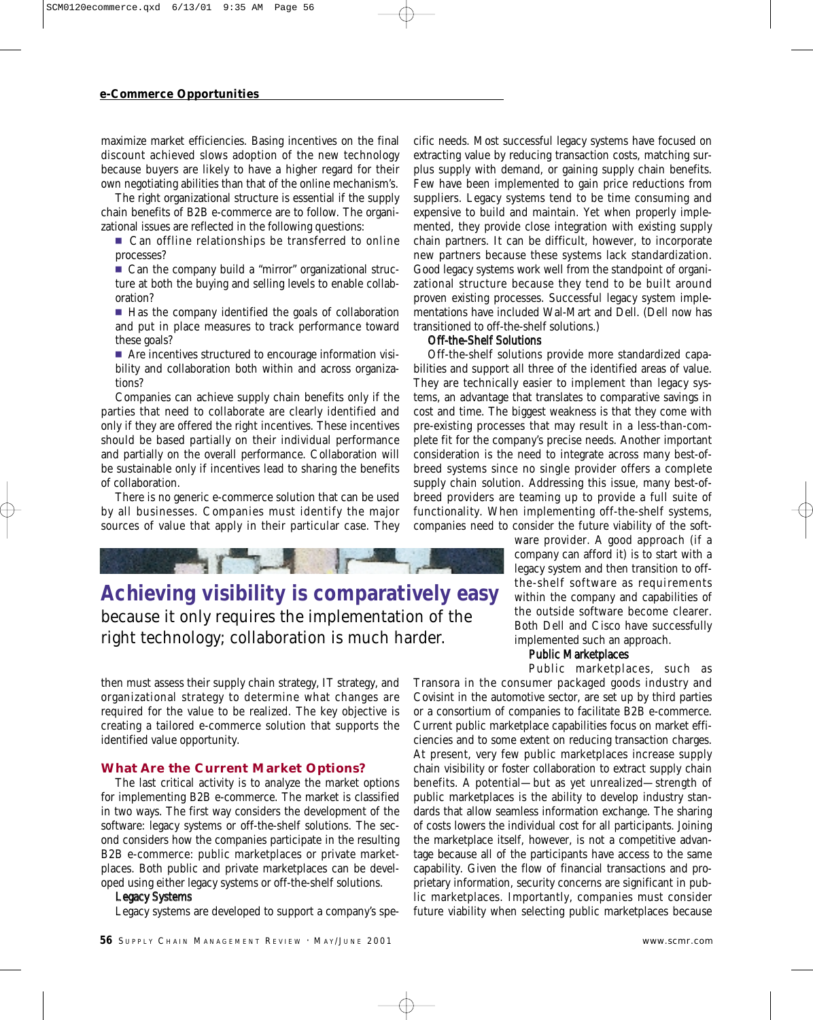maximize market efficiencies. Basing incentives on the final discount achieved slows adoption of the new technology because buyers are likely to have a higher regard for their own negotiating abilities than that of the online mechanism's.

The right organizational structure is essential if the supply chain benefits of B2B e-commerce are to follow. The organizational issues are reflected in the following questions:

■ Can offline relationships be transferred to online processes?

■ Can the company build a "mirror" organizational structure at both the buying and selling levels to enable collaboration?

 $\blacksquare$  Has the company identified the goals of collaboration and put in place measures to track performance toward these goals?

■ Are incentives structured to encourage information visibility and collaboration both within and across organizations?

Companies can achieve supply chain benefits only if the parties that need to collaborate are clearly identified and only if they are offered the right incentives. These incentives should be based partially on their individual performance and partially on the overall performance. Collaboration will be sustainable only if incentives lead to sharing the benefits of collaboration.

There is no generic e-commerce solution that can be used by all businesses. Companies must identify the major sources of value that apply in their particular case. They

**PLATE** 

**Achieving visibility is comparatively easy** because it only requires the implementation of the right technology; collaboration is much harder.

then must assess their supply chain strategy, IT strategy, and organizational strategy to determine what changes are required for the value to be realized. The key objective is creating a tailored e-commerce solution that supports the identified value opportunity.

## **What Are the Current Market Options?**

The last critical activity is to analyze the market options for implementing B2B e-commerce. The market is classified in two ways. The first way considers the development of the software: legacy systems or off-the-shelf solutions. The second considers how the companies participate in the resulting B2B e-commerce: public marketplaces or private marketplaces. Both public and private marketplaces can be developed using either legacy systems or off-the-shelf solutions.

## Legacy Systems

Legacy systems are developed to support a company's spe-

cific needs. Most successful legacy systems have focused on extracting value by reducing transaction costs, matching surplus supply with demand, or gaining supply chain benefits. Few have been implemented to gain price reductions from suppliers. Legacy systems tend to be time consuming and expensive to build and maintain. Yet when properly implemented, they provide close integration with existing supply chain partners. It can be difficult, however, to incorporate new partners because these systems lack standardization. Good legacy systems work well from the standpoint of organizational structure because they tend to be built around proven existing processes. Successful legacy system implementations have included Wal-Mart and Dell. (Dell now has transitioned to off-the-shelf solutions.)

# Off-the-Shelf Solutions

Off-the-shelf solutions provide more standardized capabilities and support all three of the identified areas of value. They are technically easier to implement than legacy systems, an advantage that translates to comparative savings in cost and time. The biggest weakness is that they come with pre-existing processes that may result in a less-than-complete fit for the company's precise needs. Another important consideration is the need to integrate across many best-ofbreed systems since no single provider offers a complete supply chain solution. Addressing this issue, many best-ofbreed providers are teaming up to provide a full suite of functionality. When implementing off-the-shelf systems, companies need to consider the future viability of the soft-

> ware provider. A good approach (if a company can afford it) is to start with a legacy system and then transition to offthe-shelf software as requirements within the company and capabilities of the outside software become clearer. Both Dell and Cisco have successfully implemented such an approach.

Public Marketplaces Public marketplaces, such as Transora in the consumer packaged goods industry and Covisint in the automotive sector, are set up by third parties or a consortium of companies to facilitate B2B e-commerce. Current public marketplace capabilities focus on market efficiencies and to some extent on reducing transaction charges. At present, very few public marketplaces increase supply chain visibility or foster collaboration to extract supply chain benefits. A potential—but as yet unrealized—strength of public marketplaces is the ability to develop industry standards that allow seamless information exchange. The sharing of costs lowers the individual cost for all participants. Joining the marketplace itself, however, is not a competitive advantage because all of the participants have access to the same capability. Given the flow of financial transactions and proprietary information, security concerns are significant in public marketplaces. Importantly, companies must consider future viability when selecting public marketplaces because